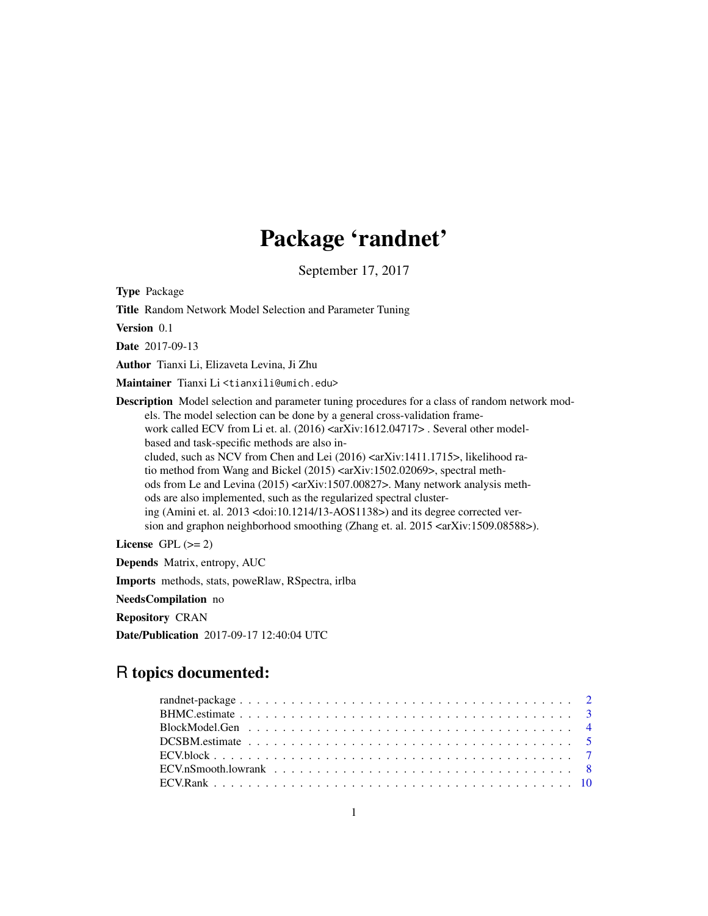# Package 'randnet'

September 17, 2017

Type Package

Title Random Network Model Selection and Parameter Tuning

Version 0.1

Date 2017-09-13

Author Tianxi Li, Elizaveta Levina, Ji Zhu

Maintainer Tianxi Li <tianxili@umich.edu>

Description Model selection and parameter tuning procedures for a class of random network models. The model selection can be done by a general cross-validation framework called ECV from Li et. al. (2016) <arXiv:1612.04717> . Several other modelbased and task-specific methods are also included, such as NCV from Chen and Lei (2016) <arXiv:1411.1715>, likelihood ratio method from Wang and Bickel (2015) <arXiv:1502.02069>, spectral methods from Le and Levina (2015) <arXiv:1507.00827>. Many network analysis methods are also implemented, such as the regularized spectral clustering (Amini et. al. 2013 <doi:10.1214/13-AOS1138>) and its degree corrected version and graphon neighborhood smoothing (Zhang et. al. 2015 <arXiv:1509.08588>).

License GPL  $(>= 2)$ 

Depends Matrix, entropy, AUC Imports methods, stats, poweRlaw, RSpectra, irlba NeedsCompilation no Repository CRAN Date/Publication 2017-09-17 12:40:04 UTC

# R topics documented: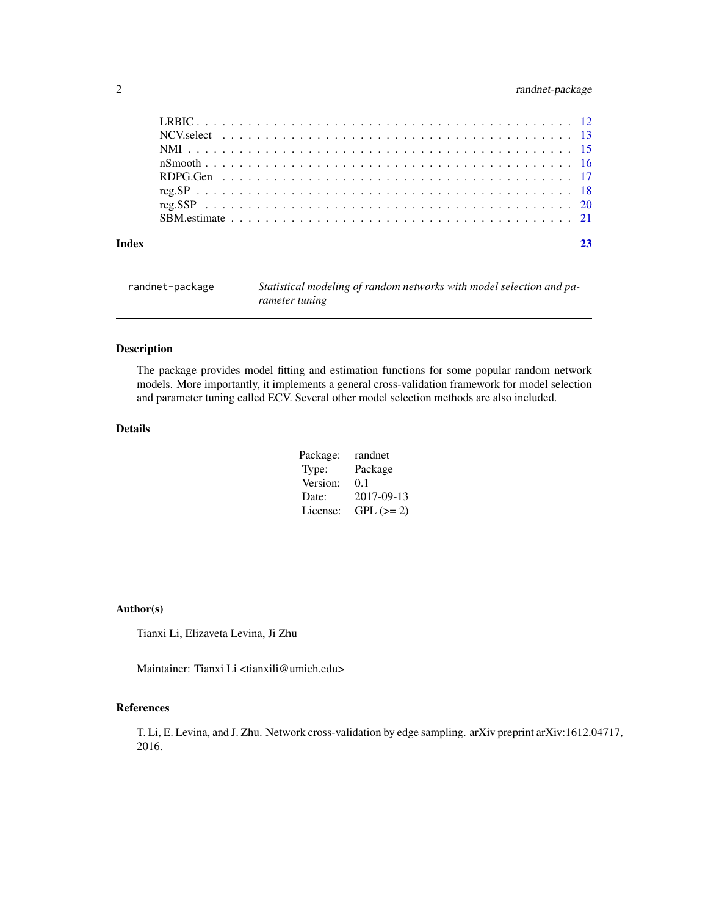# <span id="page-1-0"></span>2 randnet-package

| randnet-package | Statistical modeling of random networks with model selection and pa- |
|-----------------|----------------------------------------------------------------------|
|                 | rameter tuning                                                       |

# Description

The package provides model fitting and estimation functions for some popular random network models. More importantly, it implements a general cross-validation framework for model selection and parameter tuning called ECV. Several other model selection methods are also included.

# Details

| Package: | randnet    |
|----------|------------|
| Type:    | Package    |
| Version: | 0.1        |
| Date:    | 2017-09-13 |
| License: | $GPL (=2)$ |

#### Author(s)

Tianxi Li, Elizaveta Levina, Ji Zhu

Maintainer: Tianxi Li <tianxili@umich.edu>

#### References

T. Li, E. Levina, and J. Zhu. Network cross-validation by edge sampling. arXiv preprint arXiv:1612.04717, 2016.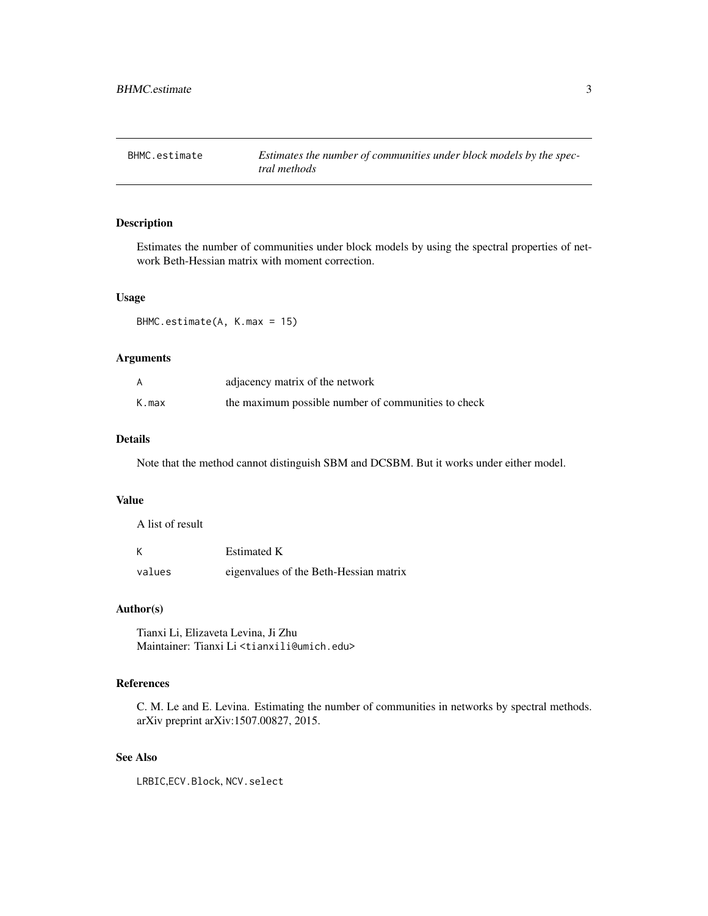<span id="page-2-1"></span><span id="page-2-0"></span>BHMC.estimate *Estimates the number of communities under block models by the spectral methods*

# Description

Estimates the number of communities under block models by using the spectral properties of network Beth-Hessian matrix with moment correction.

#### Usage

BHMC.estimate(A, K.max = 15)

#### Arguments

|       | adjacency matrix of the network                     |
|-------|-----------------------------------------------------|
| K.max | the maximum possible number of communities to check |

#### Details

Note that the method cannot distinguish SBM and DCSBM. But it works under either model.

# Value

A list of result

| К      | <b>Estimated K</b>                     |
|--------|----------------------------------------|
| values | eigenvalues of the Beth-Hessian matrix |

# Author(s)

Tianxi Li, Elizaveta Levina, Ji Zhu Maintainer: Tianxi Li <tianxili@umich.edu>

# References

C. M. Le and E. Levina. Estimating the number of communities in networks by spectral methods. arXiv preprint arXiv:1507.00827, 2015.

# See Also

LRBIC,ECV.Block, NCV.select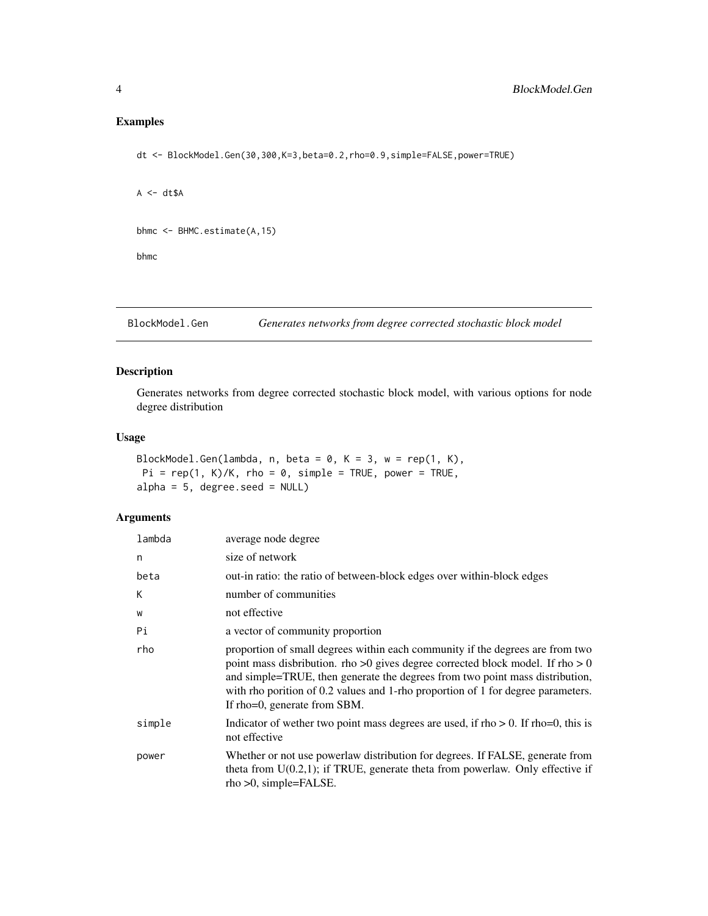# <span id="page-3-0"></span>Examples

dt <- BlockModel.Gen(30,300,K=3,beta=0.2,rho=0.9,simple=FALSE,power=TRUE)

```
A \leftarrow dt \$Abhmc <- BHMC.estimate(A,15)
bhmc
```
BlockModel.Gen *Generates networks from degree corrected stochastic block model*

## Description

Generates networks from degree corrected stochastic block model, with various options for node degree distribution

# Usage

```
BlockModel.Gen(lambda, n, beta = 0, K = 3, w = rep(1, K),
Pi = rep(1, K)/K, rho = 0, simple = TRUE, power = TRUE,
alpha = 5, degree.seed = NULL)
```
# Arguments

| lambda | average node degree                                                                                                                                                                                                                                                                                                                                                 |
|--------|---------------------------------------------------------------------------------------------------------------------------------------------------------------------------------------------------------------------------------------------------------------------------------------------------------------------------------------------------------------------|
| n      | size of network                                                                                                                                                                                                                                                                                                                                                     |
| beta   | out-in ratio: the ratio of between-block edges over within-block edges                                                                                                                                                                                                                                                                                              |
| K      | number of communities                                                                                                                                                                                                                                                                                                                                               |
| W      | not effective                                                                                                                                                                                                                                                                                                                                                       |
| Pi     | a vector of community proportion                                                                                                                                                                                                                                                                                                                                    |
| rho    | proportion of small degrees within each community if the degrees are from two<br>point mass disbribution. rho >0 gives degree corrected block model. If rho > 0<br>and simple=TRUE, then generate the degrees from two point mass distribution,<br>with rho porition of 0.2 values and 1-rho proportion of 1 for degree parameters.<br>If rho=0, generate from SBM. |
| simple | Indicator of wether two point mass degrees are used, if $rho > 0$ . If $rho = 0$ , this is<br>not effective                                                                                                                                                                                                                                                         |
| power  | Whether or not use powerlaw distribution for degrees. If FALSE, generate from<br>theta from $U(0.2,1)$ ; if TRUE, generate theta from powerlaw. Only effective if<br>rho >0, simple=FALSE.                                                                                                                                                                          |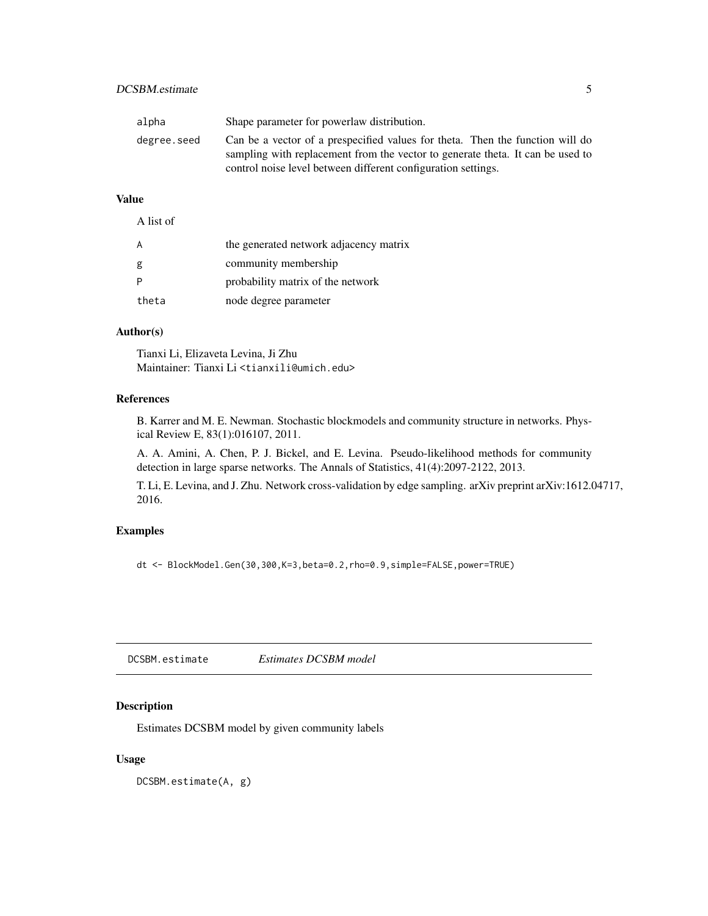# <span id="page-4-0"></span>DCSBM.estimate 5

| alpha       | Shape parameter for powerlaw distribution.                                                                                                                                                                                       |
|-------------|----------------------------------------------------------------------------------------------------------------------------------------------------------------------------------------------------------------------------------|
| degree.seed | Can be a vector of a prespecified values for theta. Then the function will do<br>sampling with replacement from the vector to generate theta. It can be used to<br>control noise level between different configuration settings. |

# Value

| A list of |                                        |
|-----------|----------------------------------------|
|           | the generated network adjacency matrix |
| g         | community membership                   |
|           | probability matrix of the network      |
| theta     | node degree parameter                  |

# Author(s)

Tianxi Li, Elizaveta Levina, Ji Zhu Maintainer: Tianxi Li <tianxili@umich.edu>

# References

B. Karrer and M. E. Newman. Stochastic blockmodels and community structure in networks. Physical Review E, 83(1):016107, 2011.

A. A. Amini, A. Chen, P. J. Bickel, and E. Levina. Pseudo-likelihood methods for community detection in large sparse networks. The Annals of Statistics, 41(4):2097-2122, 2013.

T. Li, E. Levina, and J. Zhu. Network cross-validation by edge sampling. arXiv preprint arXiv:1612.04717, 2016.

#### Examples

dt <- BlockModel.Gen(30,300,K=3,beta=0.2,rho=0.9,simple=FALSE,power=TRUE)

<span id="page-4-1"></span>DCSBM.estimate *Estimates DCSBM model*

# Description

Estimates DCSBM model by given community labels

#### Usage

DCSBM.estimate(A, g)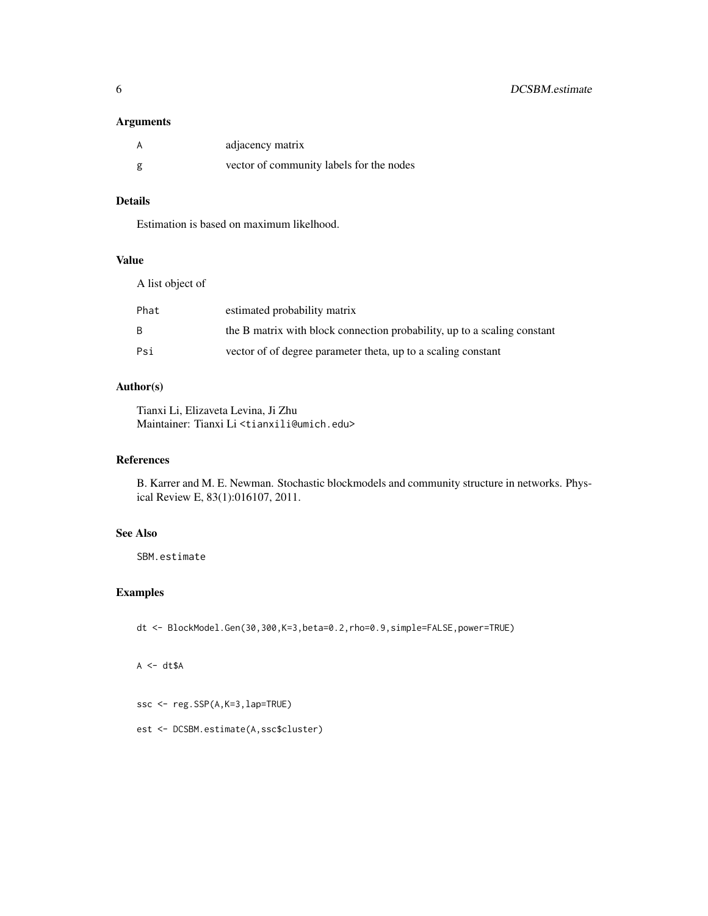#### Arguments

|   | adjacency matrix                         |
|---|------------------------------------------|
| g | vector of community labels for the nodes |

# Details

Estimation is based on maximum likelhood.

#### Value

A list object of

| Phat | estimated probability matrix                                             |
|------|--------------------------------------------------------------------------|
| B.   | the B matrix with block connection probability, up to a scaling constant |
| Psi  | vector of of degree parameter theta, up to a scaling constant            |

# Author(s)

Tianxi Li, Elizaveta Levina, Ji Zhu Maintainer: Tianxi Li <tianxili@umich.edu>

# References

B. Karrer and M. E. Newman. Stochastic blockmodels and community structure in networks. Physical Review E, 83(1):016107, 2011.

# See Also

SBM.estimate

# Examples

dt <- BlockModel.Gen(30,300,K=3,beta=0.2,rho=0.9,simple=FALSE,power=TRUE)

 $A \leftarrow dt \$ A$ 

ssc <- reg.SSP(A,K=3,lap=TRUE)

est <- DCSBM.estimate(A,ssc\$cluster)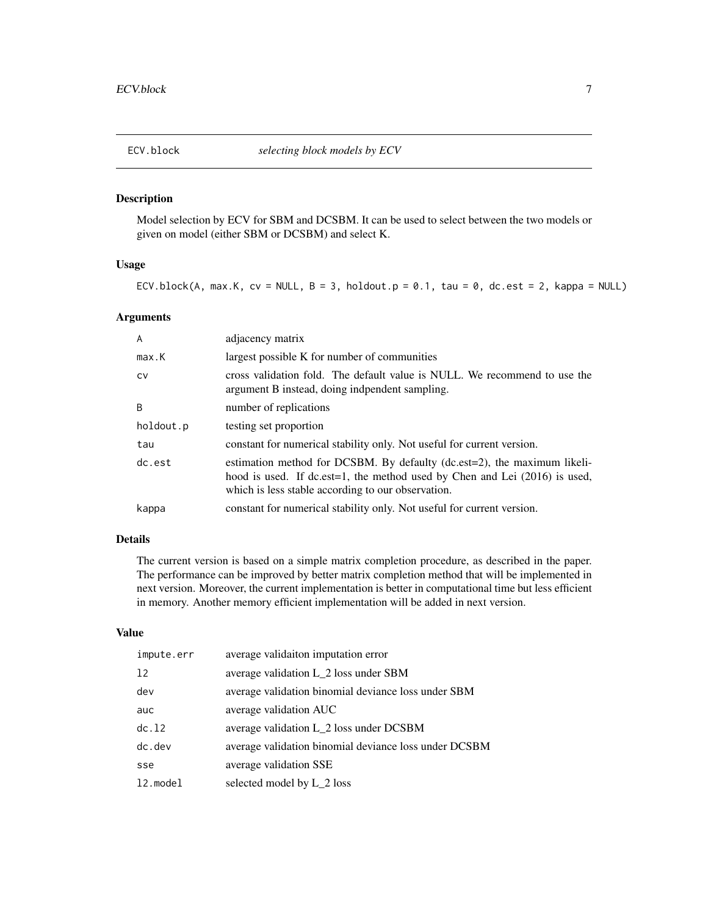<span id="page-6-1"></span><span id="page-6-0"></span>

# Description

Model selection by ECV for SBM and DCSBM. It can be used to select between the two models or given on model (either SBM or DCSBM) and select K.

#### Usage

ECV.block(A, max.K, cv = NULL,  $B = 3$ , holdout.p = 0.1, tau = 0, dc.est = 2, kappa = NULL)

#### Arguments

| $\overline{A}$ | adjacency matrix                                                                                                                                                                                             |
|----------------|--------------------------------------------------------------------------------------------------------------------------------------------------------------------------------------------------------------|
| max.K          | largest possible K for number of communities                                                                                                                                                                 |
| <b>CV</b>      | cross validation fold. The default value is NULL. We recommend to use the<br>argument B instead, doing indpendent sampling.                                                                                  |
| B              | number of replications                                                                                                                                                                                       |
| holdout.p      | testing set proportion                                                                                                                                                                                       |
| tau            | constant for numerical stability only. Not useful for current version.                                                                                                                                       |
| dc.est         | estimation method for DCSBM. By defaulty (dc.est=2), the maximum likeli-<br>hood is used. If dc.est=1, the method used by Chen and Lei (2016) is used,<br>which is less stable according to our observation. |
| kappa          | constant for numerical stability only. Not useful for current version.                                                                                                                                       |

# Details

The current version is based on a simple matrix completion procedure, as described in the paper. The performance can be improved by better matrix completion method that will be implemented in next version. Moreover, the current implementation is better in computational time but less efficient in memory. Another memory efficient implementation will be added in next version.

# Value

| impute.err | average validaiton imputation error                   |
|------------|-------------------------------------------------------|
| 12         | average validation L 2 loss under SBM                 |
| dev        | average validation binomial deviance loss under SBM   |
| auc        | average validation AUC                                |
| dc.12      | average validation L 2 loss under DCSBM               |
| $dc.$ dev  | average validation binomial deviance loss under DCSBM |
| sse        | average validation SSE                                |
| 12.model   | selected model by L_2 loss                            |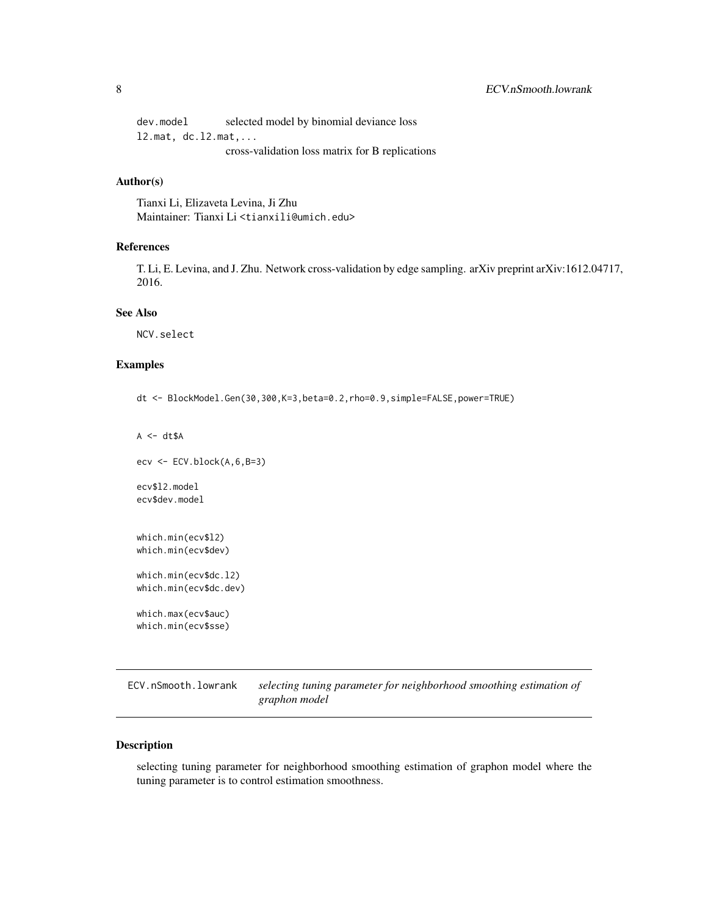<span id="page-7-0"></span>dev.model selected model by binomial deviance loss l2.mat, dc.l2.mat,... cross-validation loss matrix for B replications

#### Author(s)

Tianxi Li, Elizaveta Levina, Ji Zhu Maintainer: Tianxi Li <tianxili@umich.edu>

# References

T. Li, E. Levina, and J. Zhu. Network cross-validation by edge sampling. arXiv preprint arXiv:1612.04717, 2016.

# See Also

NCV.select

# Examples

dt <- BlockModel.Gen(30,300,K=3,beta=0.2,rho=0.9,simple=FALSE,power=TRUE)

```
A \leftarrow dt \$A\text{ecv} \leftarrow \text{ECV}.\text{block}(A, 6, B=3)ecv$l2.model
ecv$dev.model
which.min(ecv$l2)
which.min(ecv$dev)
which.min(ecv$dc.l2)
which.min(ecv$dc.dev)
which.max(ecv$auc)
which.min(ecv$sse)
```
ECV.nSmooth.lowrank *selecting tuning parameter for neighborhood smoothing estimation of graphon model*

# Description

selecting tuning parameter for neighborhood smoothing estimation of graphon model where the tuning parameter is to control estimation smoothness.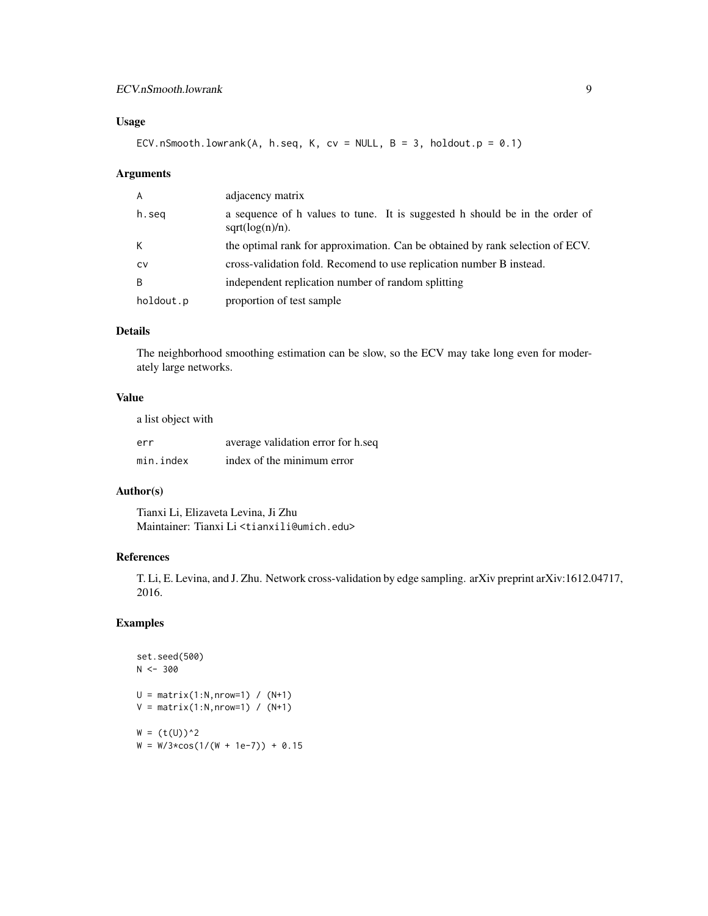# Usage

ECV.nSmooth.lowrank(A, h.seq, K, cv = NULL, B = 3, holdout.p =  $0.1$ )

#### Arguments

| $\mathsf{A}$ | adjacency matrix                                                                                  |
|--------------|---------------------------------------------------------------------------------------------------|
| h.seg        | a sequence of h values to tune. It is suggested h should be in the order of<br>$sqrt(log(n)/n)$ . |
| K            | the optimal rank for approximation. Can be obtained by rank selection of ECV.                     |
| <b>CV</b>    | cross-validation fold. Recomend to use replication number B instead.                              |
| <sub>B</sub> | independent replication number of random splitting                                                |
| holdout.p    | proportion of test sample                                                                         |

# Details

The neighborhood smoothing estimation can be slow, so the ECV may take long even for moderately large networks.

# Value

a list object with

| err       | average validation error for h.seq |
|-----------|------------------------------------|
| min.index | index of the minimum error         |

# Author(s)

Tianxi Li, Elizaveta Levina, Ji Zhu Maintainer: Tianxi Li <tianxili@umich.edu>

# References

T. Li, E. Levina, and J. Zhu. Network cross-validation by edge sampling. arXiv preprint arXiv:1612.04717, 2016.

# Examples

```
set.seed(500)
N < -300U = matrix(1:N,nrow=1) / (N+1)V = matrix(1:N,nrow=1) / (N+1)W = (t(U))^2W = W/3 * cos(1/(W + 1e-7)) + 0.15
```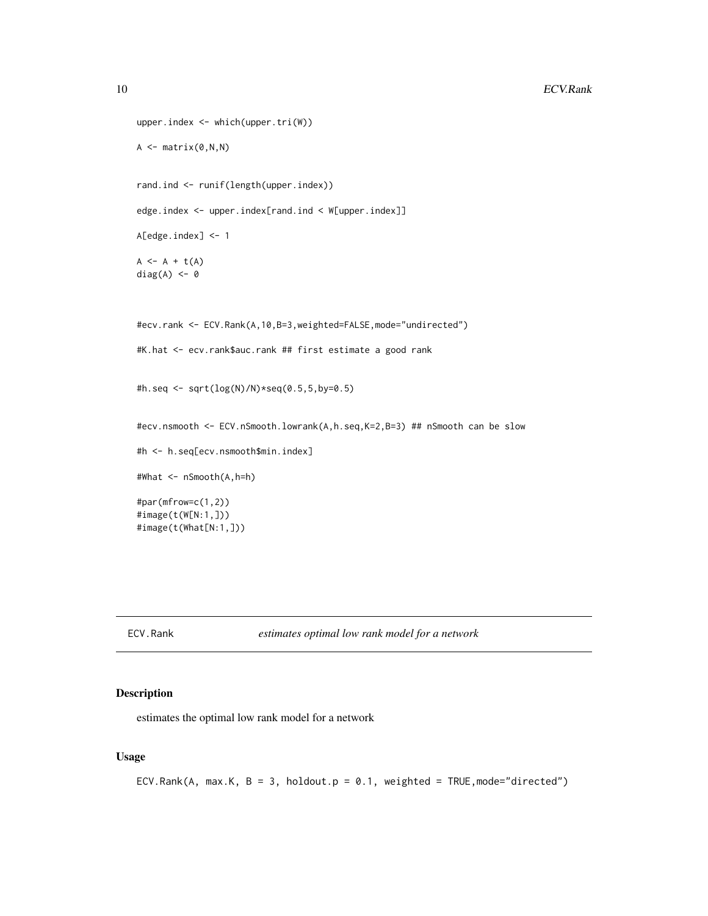```
upper.index <- which(upper.tri(W))
A \leftarrow matrix(0, N, N)rand.ind <- runif(length(upper.index))
edge.index <- upper.index[rand.ind < W[upper.index]]
A[edge.index] <- 1
A \leftarrow A + t(A)diag(A) <- 0
#ecv.rank <- ECV.Rank(A,10,B=3,weighted=FALSE,mode="undirected")
#K.hat <- ecv.rank$auc.rank ## first estimate a good rank
#h.seq <- sqrt(log(N)/N)*seq(0.5,5,by=0.5)
#ecv.nsmooth <- ECV.nSmooth.lowrank(A,h.seq,K=2,B=3) ## nSmooth can be slow
#h <- h.seq[ecv.nsmooth$min.index]
#What <- nSmooth(A,h=h)
#par(mfrow=c(1,2))
#image(t(W[N:1,]))
#image(t(What[N:1,]))
```
ECV.Rank *estimates optimal low rank model for a network*

# Description

estimates the optimal low rank model for a network

# Usage

ECV.Rank(A, max.K,  $B = 3$ , holdout.p = 0.1, weighted = TRUE, mode="directed")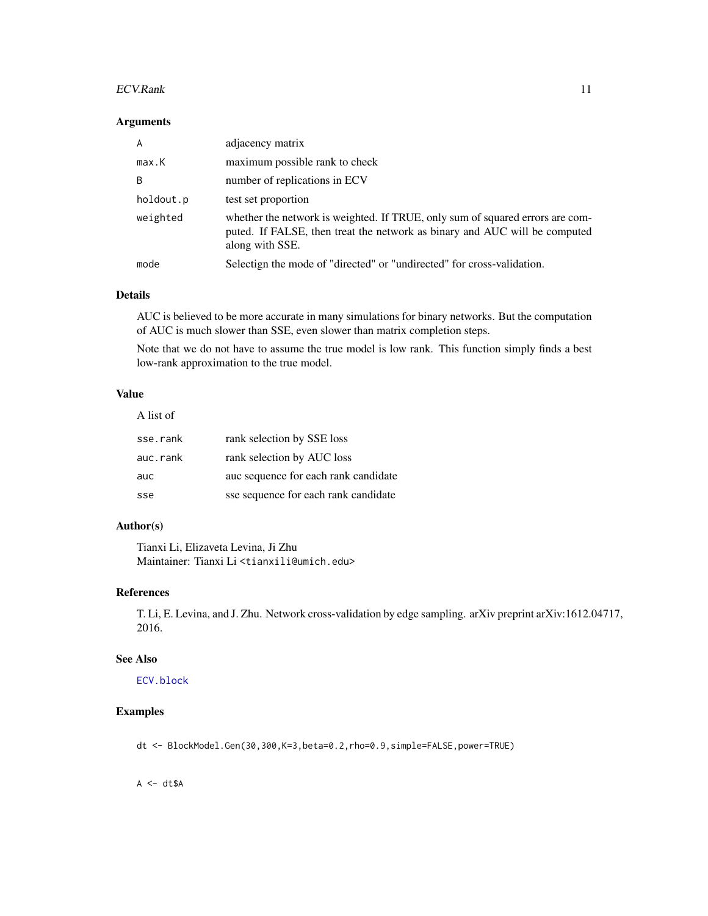#### <span id="page-10-0"></span> $ECV$ .Rank  $11$

#### Arguments

| $\overline{A}$ | adjacency matrix                                                                                                                                                               |
|----------------|--------------------------------------------------------------------------------------------------------------------------------------------------------------------------------|
| max.K          | maximum possible rank to check                                                                                                                                                 |
| B              | number of replications in ECV                                                                                                                                                  |
| holdout.p      | test set proportion                                                                                                                                                            |
| weighted       | whether the network is weighted. If TRUE, only sum of squared errors are com-<br>puted. If FALSE, then treat the network as binary and AUC will be computed<br>along with SSE. |
| mode           | Selectign the mode of "directed" or "undirected" for cross-validation.                                                                                                         |

#### Details

AUC is believed to be more accurate in many simulations for binary networks. But the computation of AUC is much slower than SSE, even slower than matrix completion steps.

Note that we do not have to assume the true model is low rank. This function simply finds a best low-rank approximation to the true model.

#### Value

A list of

| sse.rank | rank selection by SSE loss           |
|----------|--------------------------------------|
| auc.rank | rank selection by AUC loss           |
| auc      | auc sequence for each rank candidate |
| sse      | sse sequence for each rank candidate |

# Author(s)

Tianxi Li, Elizaveta Levina, Ji Zhu Maintainer: Tianxi Li <tianxili@umich.edu>

# References

T. Li, E. Levina, and J. Zhu. Network cross-validation by edge sampling. arXiv preprint arXiv:1612.04717, 2016.

# See Also

[ECV.block](#page-6-1)

# Examples

dt <- BlockModel.Gen(30,300,K=3,beta=0.2,rho=0.9,simple=FALSE,power=TRUE)

 $A \leq -dt \$ A$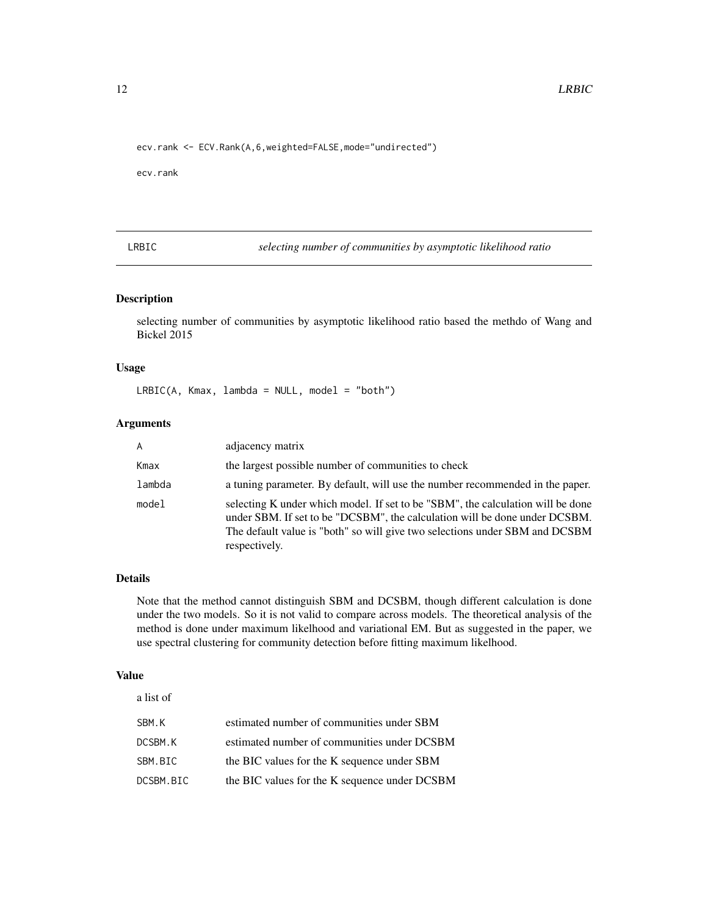<span id="page-11-0"></span>ecv.rank <- ECV.Rank(A,6,weighted=FALSE,mode="undirected")

ecv.rank

LRBIC *selecting number of communities by asymptotic likelihood ratio*

# Description

selecting number of communities by asymptotic likelihood ratio based the methdo of Wang and Bickel 2015

# Usage

LRBIC(A, Kmax, lambda = NULL, model = "both")

#### Arguments

| $\overline{A}$ | adjacency matrix                                                                                                                                                                                                                                              |
|----------------|---------------------------------------------------------------------------------------------------------------------------------------------------------------------------------------------------------------------------------------------------------------|
| Kmax           | the largest possible number of communities to check                                                                                                                                                                                                           |
| lambda         | a tuning parameter. By default, will use the number recommended in the paper.                                                                                                                                                                                 |
| model          | selecting K under which model. If set to be "SBM", the calculation will be done<br>under SBM. If set to be "DCSBM", the calculation will be done under DCSBM.<br>The default value is "both" so will give two selections under SBM and DCSBM<br>respectively. |

#### Details

Note that the method cannot distinguish SBM and DCSBM, though different calculation is done under the two models. So it is not valid to compare across models. The theoretical analysis of the method is done under maximum likelhood and variational EM. But as suggested in the paper, we use spectral clustering for community detection before fitting maximum likelhood.

# Value

| a list of |                                               |
|-----------|-----------------------------------------------|
| SBM.K     | estimated number of communities under SBM     |
| DCSBM.K   | estimated number of communities under DCSBM   |
| SBM.BIC   | the BIC values for the K sequence under SBM   |
| DCSBM.BIC | the BIC values for the K sequence under DCSBM |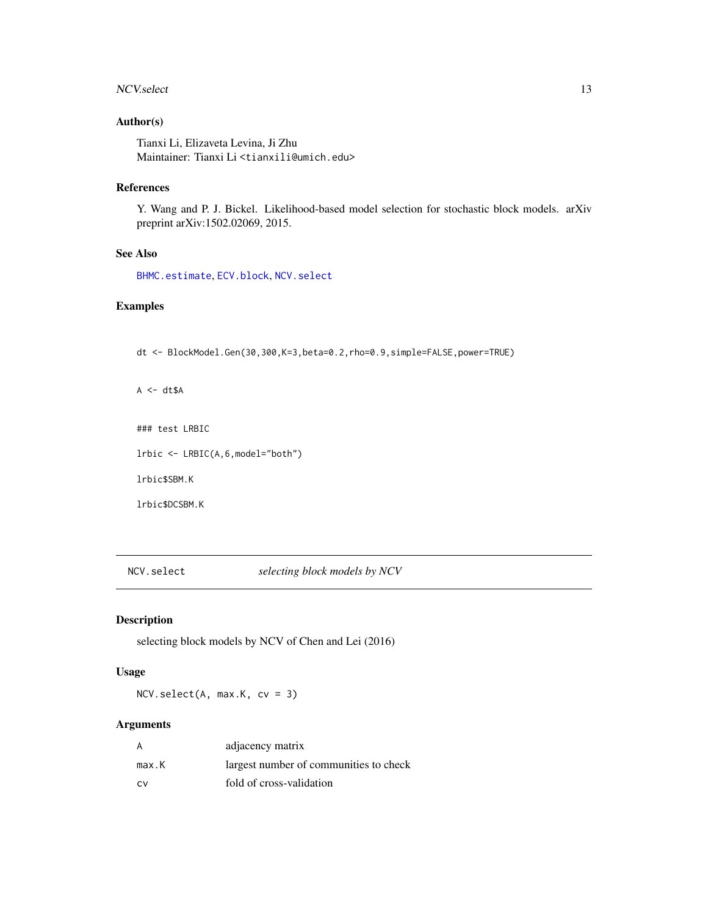#### <span id="page-12-0"></span>NCV.select 13

# Author(s)

Tianxi Li, Elizaveta Levina, Ji Zhu Maintainer: Tianxi Li <tianxili@umich.edu>

### References

Y. Wang and P. J. Bickel. Likelihood-based model selection for stochastic block models. arXiv preprint arXiv:1502.02069, 2015.

# See Also

[BHMC.estimate](#page-2-1), [ECV.block](#page-6-1), [NCV.select](#page-12-1)

# Examples

dt <- BlockModel.Gen(30,300,K=3,beta=0.2,rho=0.9,simple=FALSE,power=TRUE)

 $A \leftarrow dt \$ A$ 

### test LRBIC

lrbic <- LRBIC(A,6,model="both")

lrbic\$SBM.K

lrbic\$DCSBM.K

<span id="page-12-1"></span>NCV.select *selecting block models by NCV*

# Description

selecting block models by NCV of Chen and Lei (2016)

#### Usage

NCV.select(A, max.K, cv = 3)

# Arguments

| A     | adjacency matrix                       |
|-------|----------------------------------------|
| max.K | largest number of communities to check |
| CV.   | fold of cross-validation               |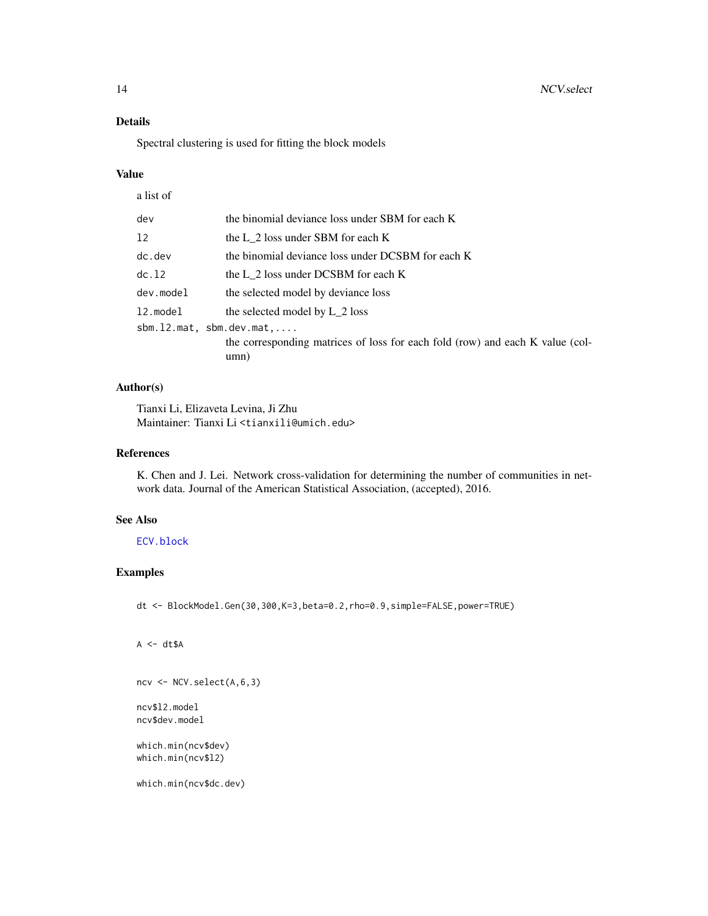# <span id="page-13-0"></span>Details

Spectral clustering is used for fitting the block models

#### Value

| a list of                         |                                                                               |
|-----------------------------------|-------------------------------------------------------------------------------|
| dev                               | the binomial deviance loss under SBM for each K                               |
| 12                                | the L 2 loss under SBM for each K                                             |
| $dc.$ dev                         | the binomial deviance loss under DCSBM for each K                             |
| dc.12                             | the L 2 loss under DCSBM for each K                                           |
| dev.model                         | the selected model by deviance loss                                           |
| 12.model                          | the selected model by L 2 loss                                                |
| $sbm.12.mat, sbm.dev.mat, \ldots$ |                                                                               |
|                                   | the corresponding matrices of loss for each fold (row) and each K value (col- |
|                                   | umn)                                                                          |

# Author(s)

Tianxi Li, Elizaveta Levina, Ji Zhu Maintainer: Tianxi Li <tianxili@umich.edu>

# References

K. Chen and J. Lei. Network cross-validation for determining the number of communities in network data. Journal of the American Statistical Association, (accepted), 2016.

#### See Also

[ECV.block](#page-6-1)

# Examples

dt <- BlockModel.Gen(30,300,K=3,beta=0.2,rho=0.9,simple=FALSE,power=TRUE)

```
A \leftarrow dt \$A
```

```
ncv <- NCV.select(A,6,3)
```
ncv\$l2.model ncv\$dev.model

which.min(ncv\$dev) which.min(ncv\$l2)

which.min(ncv\$dc.dev)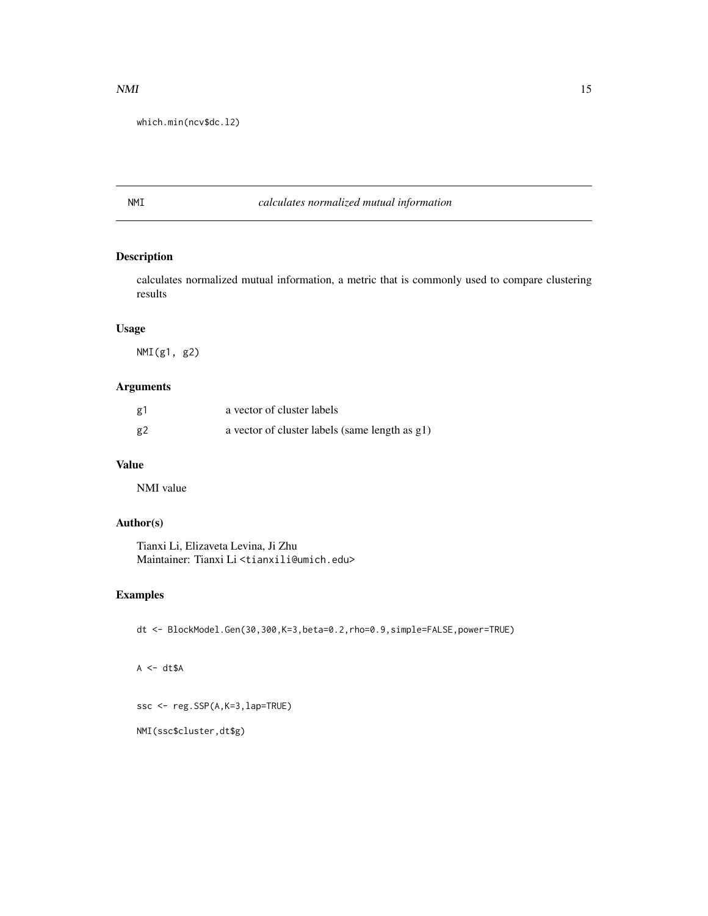#### <span id="page-14-0"></span> $NMI$  15

which.min(ncv\$dc.l2)

# NMI *calculates normalized mutual information*

# Description

calculates normalized mutual information, a metric that is commonly used to compare clustering results

#### Usage

NMI(g1, g2)

# Arguments

| g1 | a vector of cluster labels                     |
|----|------------------------------------------------|
| g2 | a vector of cluster labels (same length as g1) |

# Value

NMI value

# Author(s)

Tianxi Li, Elizaveta Levina, Ji Zhu Maintainer: Tianxi Li <tianxili@umich.edu>

# Examples

dt <- BlockModel.Gen(30,300,K=3,beta=0.2,rho=0.9,simple=FALSE,power=TRUE)

 $A \leq -dt \$ A$ 

ssc <- reg.SSP(A,K=3,lap=TRUE)

NMI(ssc\$cluster,dt\$g)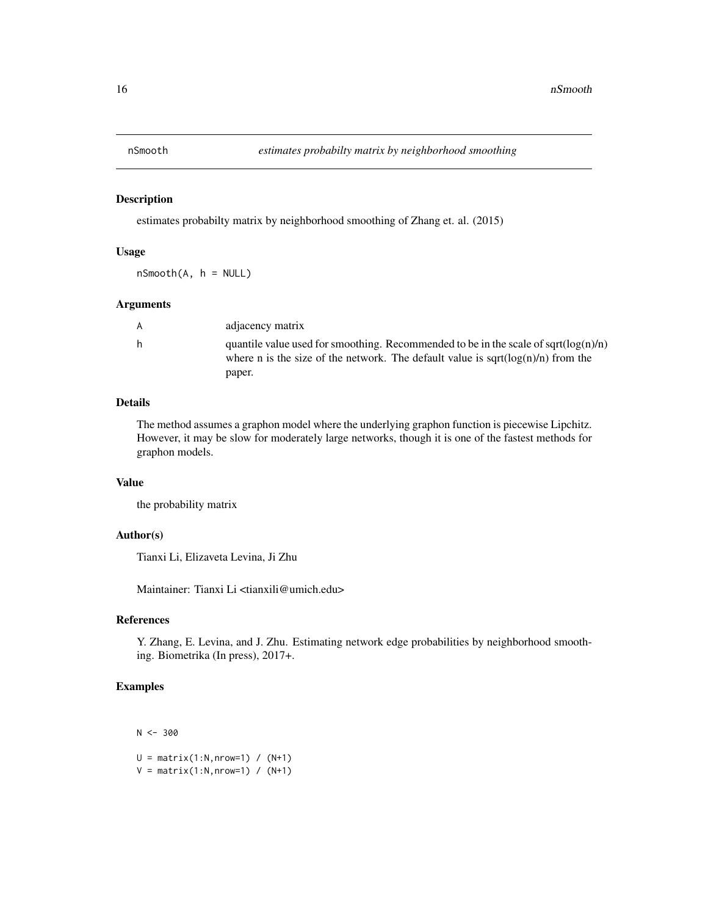<span id="page-15-0"></span>

#### Description

estimates probabilty matrix by neighborhood smoothing of Zhang et. al. (2015)

#### Usage

 $nSmooth(A, h = NULL)$ 

#### Arguments

| A |  |
|---|--|
| h |  |
|   |  |

adjacency matrix quantile value used for smoothing. Recommended to be in the scale of sqrt( $log(n)/n$ ) where n is the size of the network. The default value is sqrt $(log(n)/n)$  from the paper.

#### Details

The method assumes a graphon model where the underlying graphon function is piecewise Lipchitz. However, it may be slow for moderately large networks, though it is one of the fastest methods for graphon models.

#### Value

the probability matrix

#### Author(s)

Tianxi Li, Elizaveta Levina, Ji Zhu

Maintainer: Tianxi Li <tianxili@umich.edu>

# References

Y. Zhang, E. Levina, and J. Zhu. Estimating network edge probabilities by neighborhood smoothing. Biometrika (In press), 2017+.

# Examples

 $N < -300$ 

 $U = matrix(1:N,nrow=1) / (N+1)$  $V = matrix(1:N,nrow=1) / (N+1)$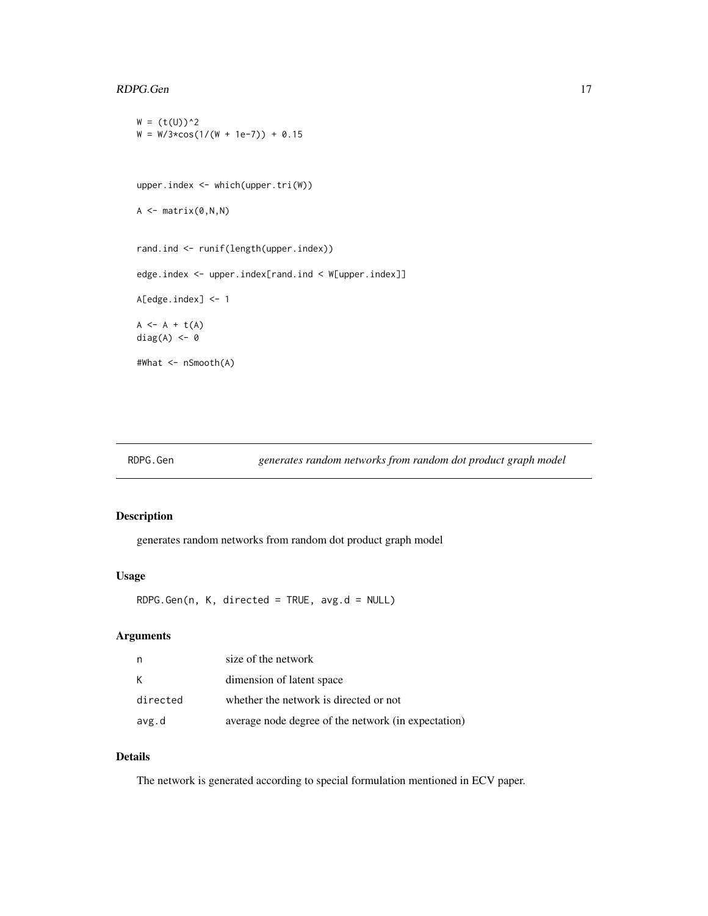#### <span id="page-16-0"></span>RDPG.Gen 17

```
W = (t(U))^2W = W/3 \times \cos(1/(W + 1e-7)) + 0.15upper.index <- which(upper.tri(W))
A \leftarrow matrix(0, N, N)rand.ind <- runif(length(upper.index))
edge.index <- upper.index[rand.ind < W[upper.index]]
A[edge.index] <- 1
A \leftarrow A + t(A)diag(A) <- 0
#What <- nSmooth(A)
```
#### RDPG.Gen *generates random networks from random dot product graph model*

#### Description

generates random networks from random dot product graph model

#### Usage

RDPG.Gen(n, K, directed = TRUE, avg.d = NULL)

# Arguments

| n        | size of the network                                 |
|----------|-----------------------------------------------------|
| К        | dimension of latent space                           |
| directed | whether the network is directed or not              |
| avg.d    | average node degree of the network (in expectation) |

### Details

The network is generated according to special formulation mentioned in ECV paper.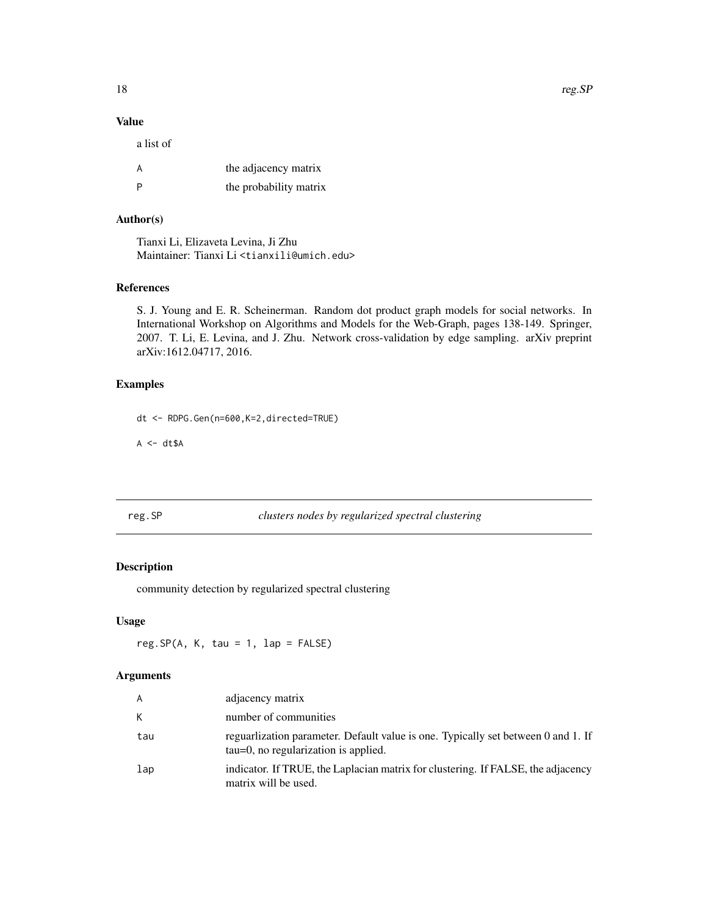# Value

| a list of |                        |
|-----------|------------------------|
| A         | the adjacency matrix   |
|           | the probability matrix |

# Author(s)

Tianxi Li, Elizaveta Levina, Ji Zhu Maintainer: Tianxi Li <tianxili@umich.edu>

#### References

S. J. Young and E. R. Scheinerman. Random dot product graph models for social networks. In International Workshop on Algorithms and Models for the Web-Graph, pages 138-149. Springer, 2007. T. Li, E. Levina, and J. Zhu. Network cross-validation by edge sampling. arXiv preprint arXiv:1612.04717, 2016.

#### Examples

dt <- RDPG.Gen(n=600,K=2,directed=TRUE)

 $A \leftarrow dt \$A$ 

<span id="page-17-1"></span>reg.SP *clusters nodes by regularized spectral clustering*

# Description

community detection by regularized spectral clustering

#### Usage

 $reg.SP(A, K, tau = 1, lap = FALSE)$ 

#### Arguments

| $\overline{A}$  | adjacency matrix                                                                                                          |
|-----------------|---------------------------------------------------------------------------------------------------------------------------|
| К               | number of communities                                                                                                     |
| tau             | reguarlization parameter. Default value is one. Typically set between 0 and 1. If<br>tau=0, no regularization is applied. |
| $_{\text{lap}}$ | indicator. If TRUE, the Laplacian matrix for clustering. If FALSE, the adjacency<br>matrix will be used.                  |

<span id="page-17-0"></span>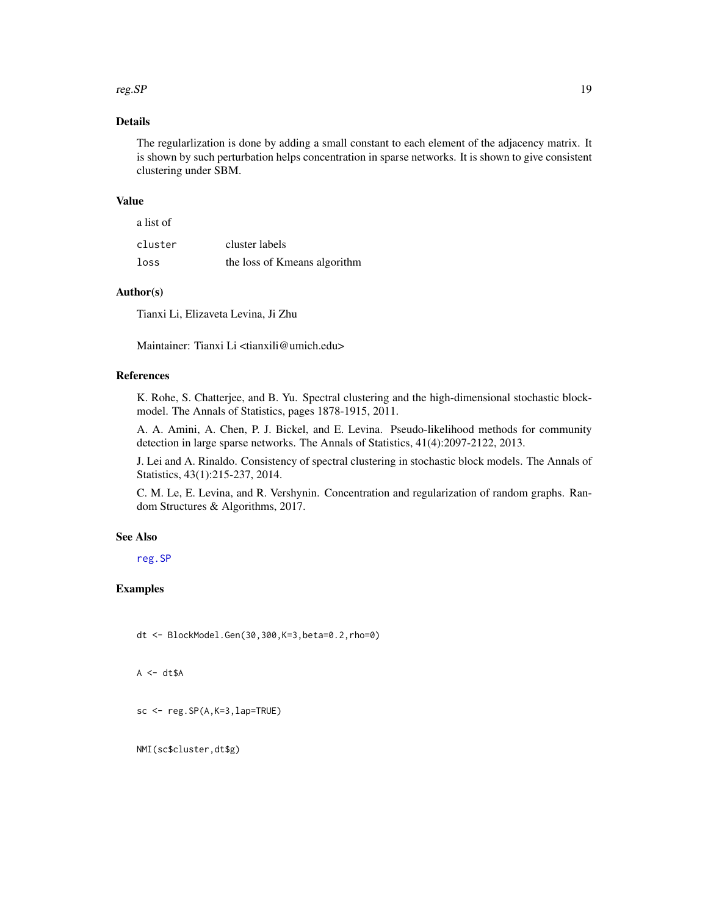#### <span id="page-18-0"></span> $r_{\text{reg}}$ . SP 19

# Details

The regularlization is done by adding a small constant to each element of the adjacency matrix. It is shown by such perturbation helps concentration in sparse networks. It is shown to give consistent clustering under SBM.

#### Value

| a list of |                              |
|-----------|------------------------------|
| cluster   | cluster labels               |
| loss      | the loss of Kmeans algorithm |

#### Author(s)

Tianxi Li, Elizaveta Levina, Ji Zhu

Maintainer: Tianxi Li <tianxili@umich.edu>

# References

K. Rohe, S. Chatterjee, and B. Yu. Spectral clustering and the high-dimensional stochastic blockmodel. The Annals of Statistics, pages 1878-1915, 2011.

A. A. Amini, A. Chen, P. J. Bickel, and E. Levina. Pseudo-likelihood methods for community detection in large sparse networks. The Annals of Statistics, 41(4):2097-2122, 2013.

J. Lei and A. Rinaldo. Consistency of spectral clustering in stochastic block models. The Annals of Statistics, 43(1):215-237, 2014.

C. M. Le, E. Levina, and R. Vershynin. Concentration and regularization of random graphs. Random Structures & Algorithms, 2017.

#### See Also

[reg.SP](#page-17-1)

#### Examples

dt <- BlockModel.Gen(30,300,K=3,beta=0.2,rho=0)

 $A \leftarrow dt \$A$ 

```
sc <- reg.SP(A,K=3,lap=TRUE)
```
NMI(sc\$cluster,dt\$g)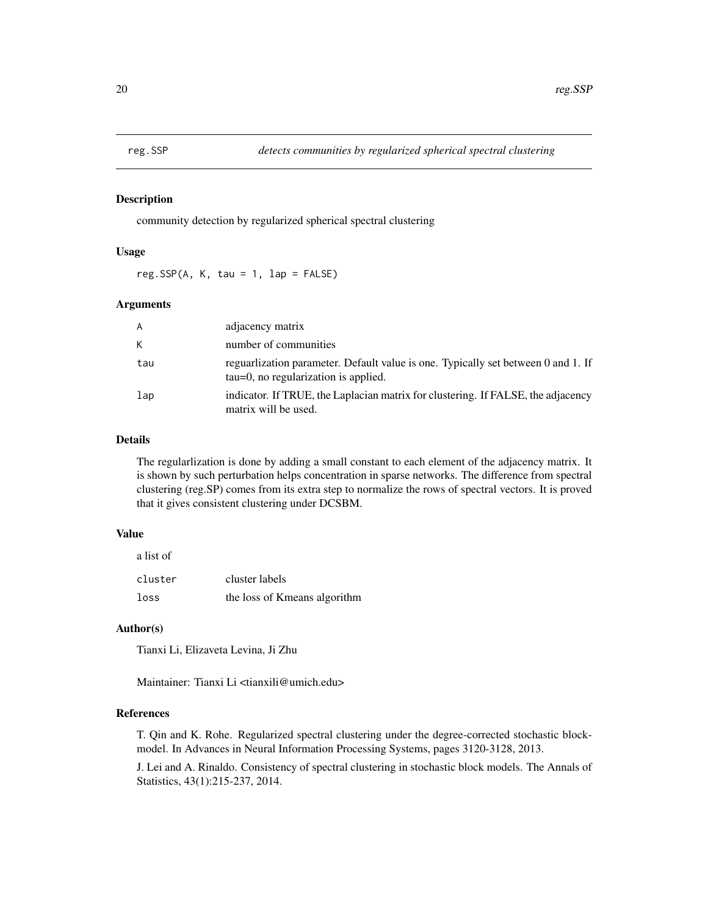<span id="page-19-0"></span>

#### Description

community detection by regularized spherical spectral clustering

#### Usage

reg.SSP(A, K, tau = 1, lap = FALSE)

#### Arguments

| A               | adjacency matrix                                                                                                         |
|-----------------|--------------------------------------------------------------------------------------------------------------------------|
| К               | number of communities                                                                                                    |
| tau             | reguarization parameter. Default value is one. Typically set between 0 and 1. If<br>tau=0, no regularization is applied. |
| $_{\text{lap}}$ | indicator. If TRUE, the Laplacian matrix for clustering. If FALSE, the adjacency<br>matrix will be used.                 |

#### Details

The regularlization is done by adding a small constant to each element of the adjacency matrix. It is shown by such perturbation helps concentration in sparse networks. The difference from spectral clustering (reg.SP) comes from its extra step to normalize the rows of spectral vectors. It is proved that it gives consistent clustering under DCSBM.

#### Value

| a list of |                              |
|-----------|------------------------------|
| cluster   | cluster labels               |
| loss      | the loss of Kmeans algorithm |

#### Author(s)

Tianxi Li, Elizaveta Levina, Ji Zhu

Maintainer: Tianxi Li <tianxili@umich.edu>

# References

T. Qin and K. Rohe. Regularized spectral clustering under the degree-corrected stochastic blockmodel. In Advances in Neural Information Processing Systems, pages 3120-3128, 2013.

J. Lei and A. Rinaldo. Consistency of spectral clustering in stochastic block models. The Annals of Statistics, 43(1):215-237, 2014.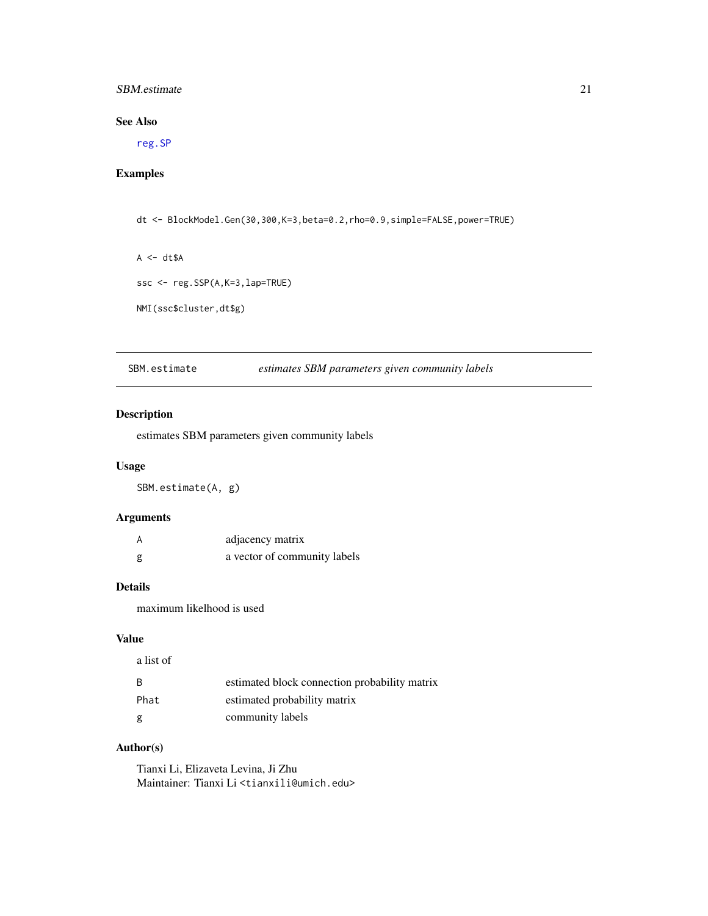#### <span id="page-20-0"></span>SBM.estimate 21

# See Also

[reg.SP](#page-17-1)

# Examples

dt <- BlockModel.Gen(30,300,K=3,beta=0.2,rho=0.9,simple=FALSE,power=TRUE)

 $A \leftarrow dt \$ A$ 

ssc <- reg.SSP(A,K=3,lap=TRUE)

NMI(ssc\$cluster,dt\$g)

SBM.estimate *estimates SBM parameters given community labels*

#### Description

estimates SBM parameters given community labels

#### Usage

SBM.estimate(A, g)

#### Arguments

| А | adjacency matrix             |
|---|------------------------------|
| g | a vector of community labels |

# Details

maximum likelhood is used

#### Value

| a list of |                                               |
|-----------|-----------------------------------------------|
| -B        | estimated block connection probability matrix |
| Phat      | estimated probability matrix                  |
| g         | community labels                              |

#### Author(s)

Tianxi Li, Elizaveta Levina, Ji Zhu Maintainer: Tianxi Li <tianxili@umich.edu>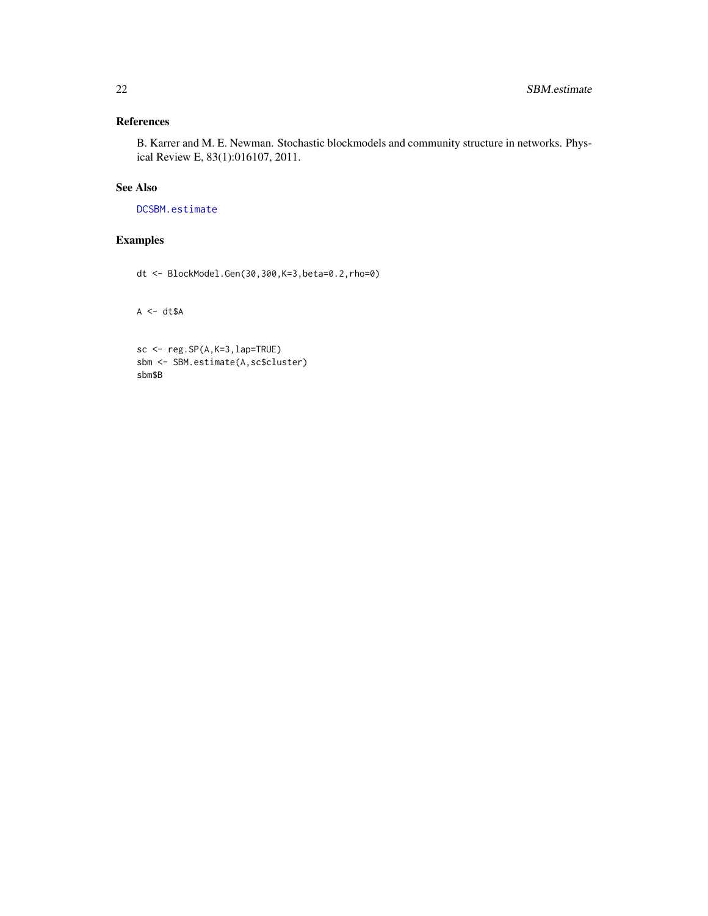# <span id="page-21-0"></span>References

B. Karrer and M. E. Newman. Stochastic blockmodels and community structure in networks. Physical Review E, 83(1):016107, 2011.

# See Also

[DCSBM.estimate](#page-4-1)

# Examples

dt <- BlockModel.Gen(30,300,K=3,beta=0.2,rho=0)

 $A \leq -dt \$ A$ 

```
sc <- reg.SP(A,K=3,lap=TRUE)
sbm <- SBM.estimate(A,sc$cluster)
sbm$B
```